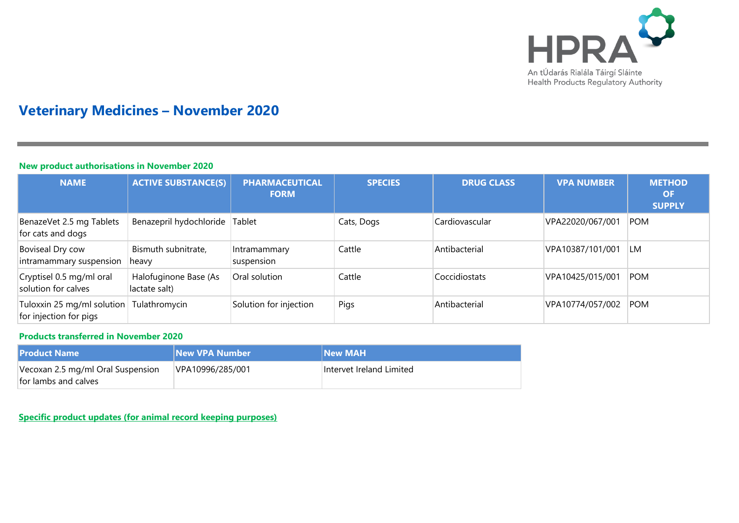

# **Veterinary Medicines – November 2020**

#### **New product authorisations in November 2020**

| <b>NAME</b>                                          | <b>ACTIVE SUBSTANCE(S)</b>             | <b>PHARMACEUTICAL</b><br><b>FORM</b> | <b>SPECIES</b> | <b>DRUG CLASS</b> | <b>VPA NUMBER</b> | <b>METHOD</b><br><b>OF</b><br><b>SUPPLY</b> |
|------------------------------------------------------|----------------------------------------|--------------------------------------|----------------|-------------------|-------------------|---------------------------------------------|
| BenazeVet 2.5 mg Tablets<br>for cats and dogs        | Benazepril hydochloride                | Tablet                               | Cats, Dogs     | Cardiovascular    | VPA22020/067/001  | <b>POM</b>                                  |
| Boviseal Dry cow<br>intramammary suspension          | Bismuth subnitrate,<br>$ $ heavy       | Intramammary<br>suspension           | Cattle         | Antibacterial     | VPA10387/101/001  | <b>LM</b>                                   |
| Cryptisel 0.5 mg/ml oral<br>solution for calves      | Halofuginone Base (As<br>lactate salt) | Oral solution                        | Cattle         | Coccidiostats     | VPA10425/015/001  | <b>POM</b>                                  |
| Tuloxxin 25 mg/ml solution<br>for injection for pigs | Tulathromycin                          | Solution for injection               | Pigs           | Antibacterial     | VPA10774/057/002  | <b>POM</b>                                  |

### **Products transferred in November 2020**

| <b>Product Name</b>                                       | <b>New VPA Number</b> | <b>New MAH</b>           |
|-----------------------------------------------------------|-----------------------|--------------------------|
| Vecoxan 2.5 mg/ml Oral Suspension<br>for lambs and calves | VPA10996/285/001      | Intervet Ireland Limited |

**Specific product updates (for animal record keeping purposes)**